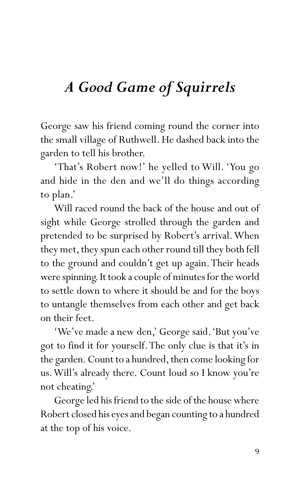## *A Good Game of Squirrels*

George saw his friend coming round the corner into the small village of Ruthwell. He dashed back into the garden to tell his brother.

'That's Robert now!' he yelled to Will. 'You go and hide in the den and we'll do things according to plan.'

Will raced round the back of the house and out of sight while George strolled through the garden and pretended to be surprised by Robert's arrival. When they met, they spun each other round till they both fell to the ground and couldn't get up again. Their heads were spinning. It took a couple of minutes for the world to settle down to where it should be and for the boys to untangle themselves from each other and get back on their feet.

'We've made a new den,' George said. 'But you've got to find it for yourself. The only clue is that it's in the garden. Count to a hundred, then come looking for us. Will's already there. Count loud so I know you're not cheating.'

George led his friend to the side of the house where Robert closed his eyes and began counting to a hundred at the top of his voice.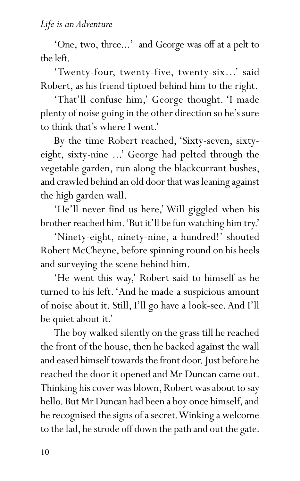'One, two, three...' and George was off at a pelt to the left.

'Twenty-four, twenty-five, twenty-six...' said Robert, as his friend tiptoed behind him to the right.

'That'll confuse him,' George thought. 'I made plenty of noise going in the other direction so he's sure to think that's where I went.'

By the time Robert reached, 'Sixty-seven, sixtyeight, sixty-nine ...' George had pelted through the vegetable garden, run along the blackcurrant bushes, and crawled behind an old door that was leaning against the high garden wall.

'He'll never find us here,' Will giggled when his brother reached him. 'But it'll be fun watching him try.'

'Ninety-eight, ninety-nine, a hundred!' shouted Robert McCheyne, before spinning round on his heels and surveying the scene behind him.

'He went this way,' Robert said to himself as he turned to his left. 'And he made a suspicious amount of noise about it. Still, I'll go have a look-see. And I'll be quiet about it.'

The boy walked silently on the grass till he reached the front of the house, then he backed against the wall and eased himself towards the front door. Just before he reached the door it opened and Mr Duncan came out. Thinking his cover was blown, Robert was about to say hello. But Mr Duncan had been a boy once himself, and he recognised the signs of a secret. Winking a welcome to the lad, he strode off down the path and out the gate.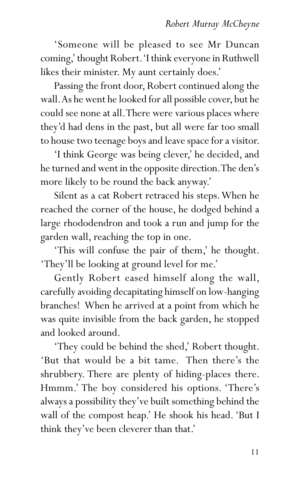'Someone will be pleased to see Mr Duncan coming,' thought Robert. 'I think everyone in Ruthwell likes their minister. My aunt certainly does.'

Passing the front door, Robert continued along the wall. As he went he looked for all possible cover, but he could see none at all. There were various places where they'd had dens in the past, but all were far too small to house two teenage boys and leave space for a visitor.

'I think George was being clever,' he decided, and he turned and went in the opposite direction. The den's more likely to be round the back anyway.'

Silent as a cat Robert retraced his steps. When he reached the corner of the house, he dodged behind a large rhododendron and took a run and jump for the garden wall, reaching the top in one.

'This will confuse the pair of them,' he thought. 'They'll be looking at ground level for me.'

Gently Robert eased himself along the wall, carefully avoiding decapitating himself on low-hanging branches! When he arrived at a point from which he was quite invisible from the back garden, he stopped and looked around.

'They could be behind the shed,' Robert thought. 'But that would be a bit tame. Then there's the shrubbery. There are plenty of hiding-places there. Hmmm.' The boy considered his options. 'There's always a possibility they've built something behind the wall of the compost heap.' He shook his head. 'But I think they've been cleverer than that.'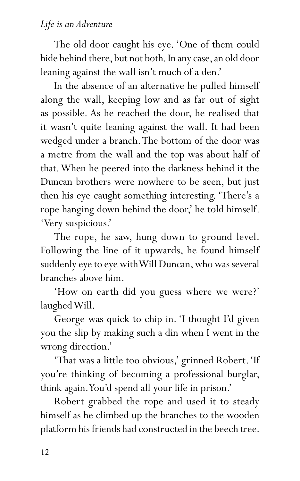The old door caught his eye. 'One of them could hide behind there, but not both. In any case, an old door leaning against the wall isn't much of a den.'

In the absence of an alternative he pulled himself along the wall, keeping low and as far out of sight as possible. As he reached the door, he realised that it wasn't quite leaning against the wall. It had been wedged under a branch. The bottom of the door was a metre from the wall and the top was about half of that. When he peered into the darkness behind it the Duncan brothers were nowhere to be seen, but just then his eye caught something interesting. 'There's a rope hanging down behind the door,' he told himself. 'Very suspicious.'

The rope, he saw, hung down to ground level. Following the line of it upwards, he found himself suddenly eye to eye with Will Duncan, who was several branches above him.

'How on earth did you guess where we were?' laughed Will.

George was quick to chip in. 'I thought I'd given you the slip by making such a din when I went in the wrong direction.'

'That was a little too obvious,' grinned Robert. 'If you're thinking of becoming a professional burglar, think again. You'd spend all your life in prison.'

Robert grabbed the rope and used it to steady himself as he climbed up the branches to the wooden platform his friends had constructed in the beech tree.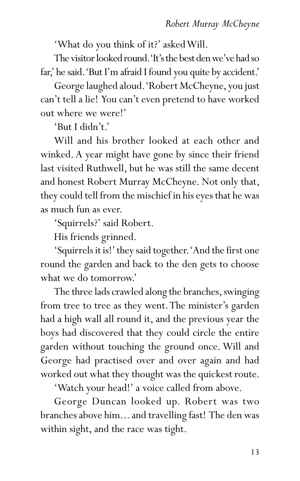'What do you think of it?' asked Will.

The visitor looked round. 'It's the best den we've had so far,' he said. 'But I'm afraid I found you quite by accident.'

George laughed aloud. 'Robert McCheyne, you just can't tell a lie! You can't even pretend to have worked out where we were!'

'But I didn't.'

Will and his brother looked at each other and winked. A year might have gone by since their friend last visited Ruthwell, but he was still the same decent and honest Robert Murray McCheyne. Not only that, they could tell from the mischief in his eyes that he was as much fun as ever.

'Squirrels?' said Robert.

His friends grinned.

'Squirrels it is!' they said together. 'And the first one round the garden and back to the den gets to choose what we do tomorrow.'

The three lads crawled along the branches, swinging from tree to tree as they went. The minister's garden had a high wall all round it, and the previous year the boys had discovered that they could circle the entire garden without touching the ground once. Will and George had practised over and over again and had worked out what they thought was the quickest route.

'Watch your head!' a voice called from above.

George Duncan looked up. Robert was two branches above him... and travelling fast! The den was within sight, and the race was tight.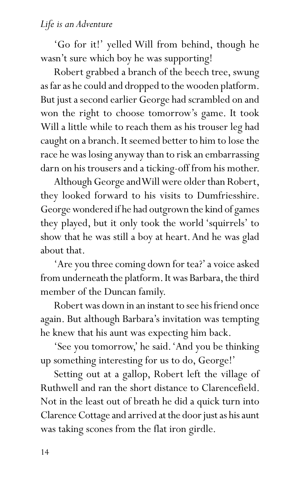## *Life is an Adventure*

'Go for it!' yelled Will from behind, though he wasn't sure which boy he was supporting!

Robert grabbed a branch of the beech tree, swung as far as he could and dropped to the wooden platform. But just a second earlier George had scrambled on and won the right to choose tomorrow's game. It took Will a little while to reach them as his trouser leg had caught on a branch. It seemed better to him to lose the race he was losing anyway than to risk an embarrassing darn on his trousers and a ticking-off from his mother.

Although George and Will were older than Robert, they looked forward to his visits to Dumfriesshire. George wondered if he had outgrown the kind of games they played, but it only took the world 'squirrels' to show that he was still a boy at heart. And he was glad about that.

'Are you three coming down for tea?' a voice asked from underneath the platform. It was Barbara, the third member of the Duncan family.

Robert was down in an instant to see his friend once again. But although Barbara's invitation was tempting he knew that his aunt was expecting him back.

'See you tomorrow,' he said. 'And you be thinking up something interesting for us to do, George!'

Setting out at a gallop, Robert left the village of Ruthwell and ran the short distance to Clarencefield. Not in the least out of breath he did a quick turn into Clarence Cottage and arrived at the door just as his aunt was taking scones from the flat iron girdle.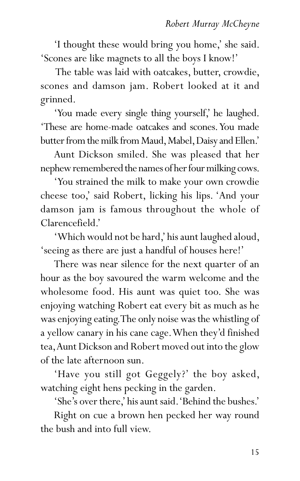'I thought these would bring you home,' she said. 'Scones are like magnets to all the boys I know!'

 The table was laid with oatcakes, butter, crowdie, scones and damson jam. Robert looked at it and grinned.

'You made every single thing yourself,' he laughed. 'These are home-made oatcakes and scones. You made butter from the milk from Maud, Mabel, Daisy and Ellen.'

Aunt Dickson smiled. She was pleased that her nephew remembered the names of her four milking cows.

'You strained the milk to make your own crowdie cheese too,' said Robert, licking his lips. 'And your damson jam is famous throughout the whole of Clarencefield.'

'Which would not be hard,' his aunt laughed aloud, 'seeing as there are just a handful of houses here!'

There was near silence for the next quarter of an hour as the boy savoured the warm welcome and the wholesome food. His aunt was quiet too. She was enjoying watching Robert eat every bit as much as he was enjoying eating. The only noise was the whistling of a yellow canary in his cane cage. When they'd finished tea, Aunt Dickson and Robert moved out into the glow of the late afternoon sun.

'Have you still got Geggely?' the boy asked, watching eight hens pecking in the garden.

'She's over there,' his aunt said. 'Behind the bushes.'

Right on cue a brown hen pecked her way round the bush and into full view.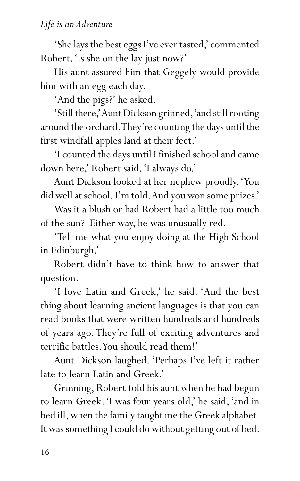'She lays the best eggs I've ever tasted,' commented Robert. 'Is she on the lay just now?'

His aunt assured him that Geggely would provide him with an egg each day.

'And the pigs?' he asked.

'Still there,' Aunt Dickson grinned, 'and still rooting around the orchard. They're counting the days until the first windfall apples land at their feet.'

'I counted the days until I finished school and came down here,' Robert said. 'I always do.'

Aunt Dickson looked at her nephew proudly. 'You did well at school, I'm told. And you won some prizes.'

Was it a blush or had Robert had a little too much of the sun? Either way, he was unusually red.

'Tell me what you enjoy doing at the High School in Edinburgh.'

Robert didn't have to think how to answer that question.

'I love Latin and Greek,' he said. 'And the best thing about learning ancient languages is that you can read books that were written hundreds and hundreds of years ago. They're full of exciting adventures and terrific battles. You should read them!'

Aunt Dickson laughed. 'Perhaps I've left it rather late to learn Latin and Greek.'

Grinning, Robert told his aunt when he had begun to learn Greek. 'I was four years old,' he said, 'and in bed ill, when the family taught me the Greek alphabet. It was something I could do without getting out of bed.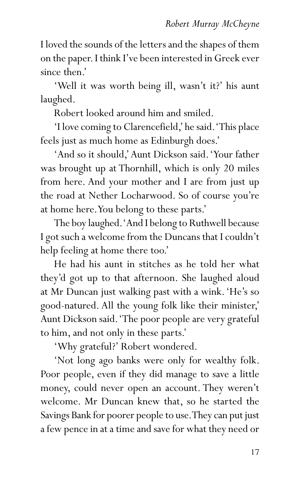I loved the sounds of the letters and the shapes of them on the paper. I think I've been interested in Greek ever since then.'

'Well it was worth being ill, wasn't it?' his aunt laughed.

Robert looked around him and smiled.

'I love coming to Clarencefield,' he said. 'This place feels just as much home as Edinburgh does.'

'And so it should,' Aunt Dickson said. 'Your father was brought up at Thornhill, which is only 20 miles from here. And your mother and I are from just up the road at Nether Locharwood. So of course you're at home here. You belong to these parts.'

The boy laughed. 'And I belong to Ruthwell because I got such a welcome from the Duncans that I couldn't help feeling at home there too.'

He had his aunt in stitches as he told her what they'd got up to that afternoon. She laughed aloud at Mr Duncan just walking past with a wink. 'He's so good-natured. All the young folk like their minister,' Aunt Dickson said. 'The poor people are very grateful to him, and not only in these parts.'

'Why grateful?' Robert wondered.

'Not long ago banks were only for wealthy folk. Poor people, even if they did manage to save a little money, could never open an account. They weren't welcome. Mr Duncan knew that, so he started the Savings Bank for poorer people to use. They can put just a few pence in at a time and save for what they need or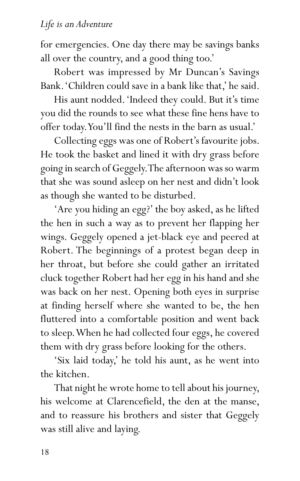for emergencies. One day there may be savings banks all over the country, and a good thing too.'

Robert was impressed by Mr Duncan's Savings Bank. 'Children could save in a bank like that,' he said.

His aunt nodded. 'Indeed they could. But it's time you did the rounds to see what these fine hens have to offer today. You'll find the nests in the barn as usual.'

Collecting eggs was one of Robert's favourite jobs. He took the basket and lined it with dry grass before going in search of Geggely. The afternoon was so warm that she was sound asleep on her nest and didn't look as though she wanted to be disturbed.

'Are you hiding an egg?' the boy asked, as he lifted the hen in such a way as to prevent her flapping her wings. Geggely opened a jet-black eye and peered at Robert. The beginnings of a protest began deep in her throat, but before she could gather an irritated cluck together Robert had her egg in his hand and she was back on her nest. Opening both eyes in surprise at finding herself where she wanted to be, the hen fluttered into a comfortable position and went back to sleep. When he had collected four eggs, he covered them with dry grass before looking for the others.

'Six laid today,' he told his aunt, as he went into the kitchen.

That night he wrote home to tell about his journey, his welcome at Clarencefield, the den at the manse, and to reassure his brothers and sister that Geggely was still alive and laying.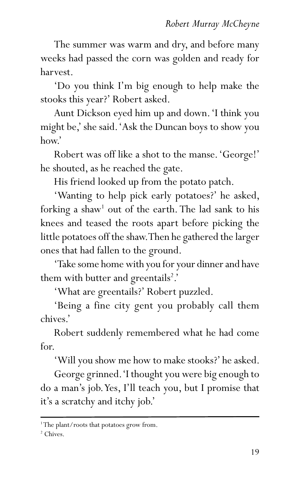The summer was warm and dry, and before many weeks had passed the corn was golden and ready for harvest.

'Do you think I'm big enough to help make the stooks this year?' Robert asked.

Aunt Dickson eyed him up and down. 'I think you might be,' she said. 'Ask the Duncan boys to show you how.'

Robert was off like a shot to the manse. 'George!' he shouted, as he reached the gate.

His friend looked up from the potato patch.

'Wanting to help pick early potatoes?' he asked, forking a shaw<sup>1</sup> out of the earth. The lad sank to his knees and teased the roots apart before picking the little potatoes off the shaw. Then he gathered the larger ones that had fallen to the ground.

'Take some home with you for your dinner and have them with butter and greentails<sup>2</sup>.'

'What are greentails?' Robert puzzled.

'Being a fine city gent you probably call them chives.'

Robert suddenly remembered what he had come for.

'Will you show me how to make stooks?' he asked.

George grinned. 'I thought you were big enough to do a man's job. Yes, I'll teach you, but I promise that it's a scratchy and itchy job.'

<sup>1</sup> The plant/roots that potatoes grow from.

<sup>2</sup> Chives.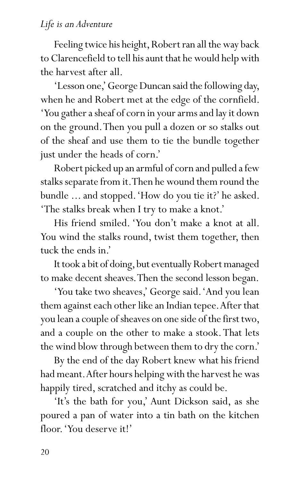## *Life is an Adventure*

Feeling twice his height, Robert ran all the way back to Clarencefield to tell his aunt that he would help with the harvest after all.

'Lesson one,' George Duncan said the following day, when he and Robert met at the edge of the cornfield. 'You gather a sheaf of corn in your arms and lay it down on the ground. Then you pull a dozen or so stalks out of the sheaf and use them to tie the bundle together just under the heads of corn.'

Robert picked up an armful of corn and pulled a few stalks separate from it. Then he wound them round the bundle ... and stopped. 'How do you tie it?' he asked. 'The stalks break when I try to make a knot.'

His friend smiled. 'You don't make a knot at all. You wind the stalks round, twist them together, then tuck the ends in.'

It took a bit of doing, but eventually Robert managed to make decent sheaves. Then the second lesson began.

'You take two sheaves,' George said. 'And you lean them against each other like an Indian tepee. After that you lean a couple of sheaves on one side of the first two, and a couple on the other to make a stook. That lets the wind blow through between them to dry the corn.'

By the end of the day Robert knew what his friend had meant. After hours helping with the harvest he was happily tired, scratched and itchy as could be.

'It's the bath for you,' Aunt Dickson said, as she poured a pan of water into a tin bath on the kitchen floor. 'You deserve it!'